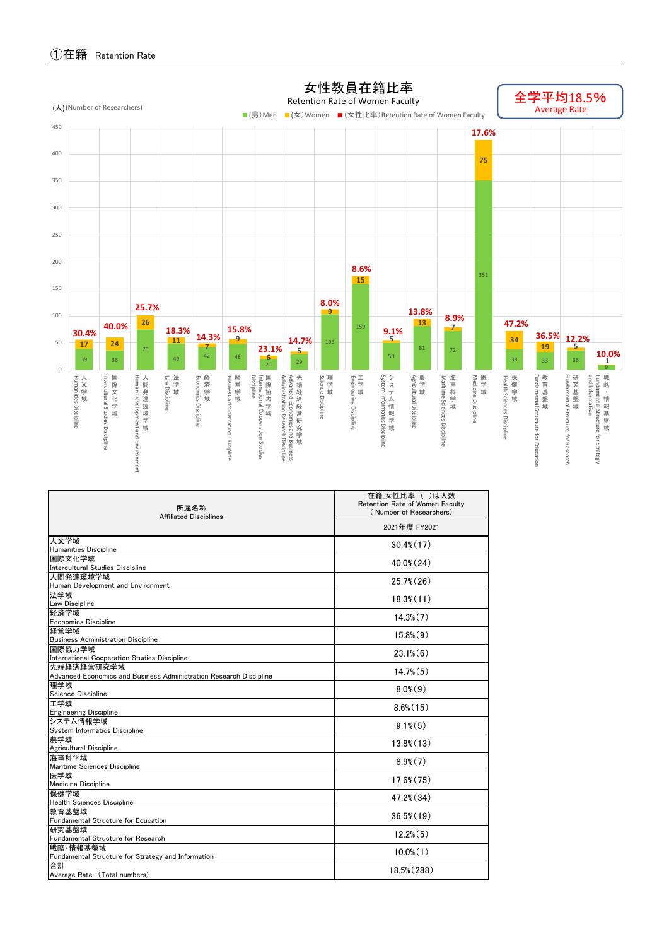

| 所属名称<br><b>Affiliated Disciplines</b>                                     | 在籍 女性比率 ( )は人数<br>Retention Rate of Women Faculty<br>(Number of Researchers)<br>2021年度 FY2021 |  |  |  |  |  |  |
|---------------------------------------------------------------------------|-----------------------------------------------------------------------------------------------|--|--|--|--|--|--|
|                                                                           |                                                                                               |  |  |  |  |  |  |
| 人文学域                                                                      | $30.4\%$ (17)                                                                                 |  |  |  |  |  |  |
| Humanities Discipline                                                     |                                                                                               |  |  |  |  |  |  |
| 国際文化学域<br>Intercultural Studies Discipline                                | $40.0\%$ (24)                                                                                 |  |  |  |  |  |  |
| 人間発達環境学域                                                                  |                                                                                               |  |  |  |  |  |  |
| Human Development and Environment                                         | $25.7\%$ (26)                                                                                 |  |  |  |  |  |  |
| 法学域                                                                       | $18.3\%$ $(11)$                                                                               |  |  |  |  |  |  |
| Law Discipline                                                            |                                                                                               |  |  |  |  |  |  |
| 経済学域                                                                      | $14.3\%$ $(7)$                                                                                |  |  |  |  |  |  |
| <b>Economics Discipline</b>                                               |                                                                                               |  |  |  |  |  |  |
| 経営学域                                                                      | $15.8\%$ $(9)$                                                                                |  |  |  |  |  |  |
| <b>Business Administration Discipline</b>                                 |                                                                                               |  |  |  |  |  |  |
| 国際協力学域                                                                    | $23.1\%$ (6)                                                                                  |  |  |  |  |  |  |
| International Cooperation Studies Discipline                              |                                                                                               |  |  |  |  |  |  |
| 先端経済経営研究学域                                                                | $14.7\%$ $(5)$                                                                                |  |  |  |  |  |  |
| Advanced Economics and Business Administration Research Discipline<br>理学域 |                                                                                               |  |  |  |  |  |  |
| Science Discipline                                                        | $8.0\%$ $(9)$                                                                                 |  |  |  |  |  |  |
| 工学域                                                                       |                                                                                               |  |  |  |  |  |  |
| <b>Engineering Discipline</b>                                             | $8.6\%$ (15)                                                                                  |  |  |  |  |  |  |
| システム情報学域                                                                  |                                                                                               |  |  |  |  |  |  |
| System Informatics Discipline                                             | $9.1\%$ (5)                                                                                   |  |  |  |  |  |  |
| 農学域                                                                       | $13.8\%$ $(13)$                                                                               |  |  |  |  |  |  |
| Agricultural Discipline                                                   |                                                                                               |  |  |  |  |  |  |
| 海事科学域<br>Maritime Sciences Discipline                                     | $8.9\%$ $(7)$                                                                                 |  |  |  |  |  |  |
| 医学域                                                                       |                                                                                               |  |  |  |  |  |  |
| <b>Medicine Discipline</b>                                                | $17.6\%$ $(75)$                                                                               |  |  |  |  |  |  |
| 保健学域                                                                      |                                                                                               |  |  |  |  |  |  |
| <b>Health Sciences Discipline</b>                                         | $47.2\%$ $(34)$                                                                               |  |  |  |  |  |  |
| 教育基盤域                                                                     | $36.5\%$ (19)                                                                                 |  |  |  |  |  |  |
| Fundamental Structure for Education                                       |                                                                                               |  |  |  |  |  |  |
| 研究基盤域                                                                     | $12.2\%$ $(5)$                                                                                |  |  |  |  |  |  |
| Fundamental Structure for Research<br>戦略 情報基盤域                            |                                                                                               |  |  |  |  |  |  |
| Fundamental Structure for Strategy and Information                        | $10.0\%$ $(1)$                                                                                |  |  |  |  |  |  |
| 合計                                                                        |                                                                                               |  |  |  |  |  |  |
| Average Rate (Total numbers)                                              | 18.5% (288)                                                                                   |  |  |  |  |  |  |
|                                                                           |                                                                                               |  |  |  |  |  |  |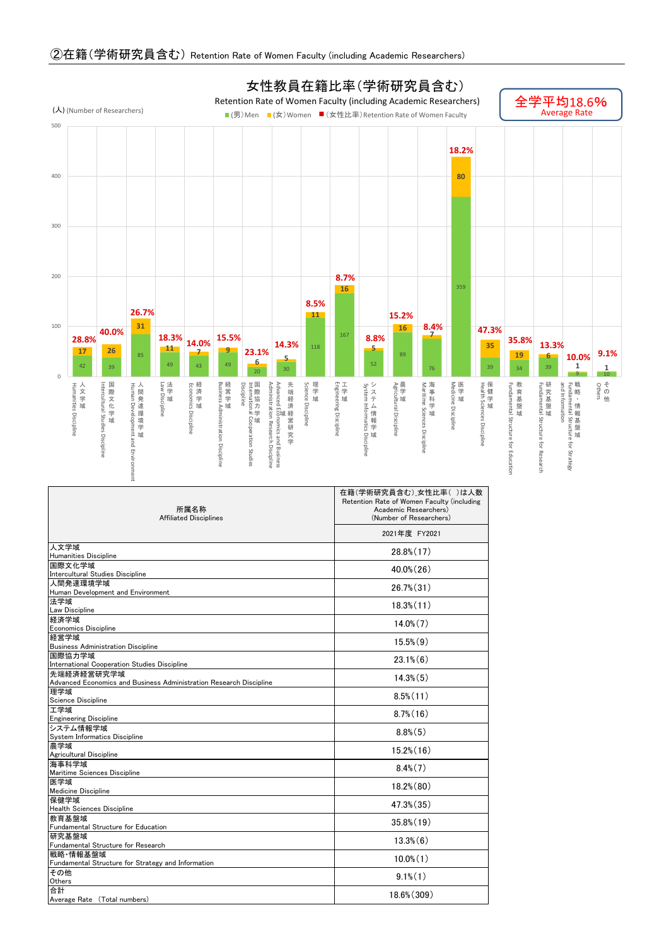

| 所属名称<br><b>Affiliated Disciplines</b>                                     | 在籍(学術研究員含む) 女性比率()は人数<br>Retention Rate of Women Faculty (including<br>Academic Researchers)<br>(Number of Researchers)<br>2021年度 FY2021 |  |  |  |  |  |  |
|---------------------------------------------------------------------------|------------------------------------------------------------------------------------------------------------------------------------------|--|--|--|--|--|--|
|                                                                           |                                                                                                                                          |  |  |  |  |  |  |
| 人文学域<br>Humanities Discipline                                             | $28.8\%$ (17)                                                                                                                            |  |  |  |  |  |  |
| 国際文化学域<br>Intercultural Studies Discipline                                | 40.0% (26)                                                                                                                               |  |  |  |  |  |  |
| 人間発達環境学域<br>Human Development and Environment                             | $26.7\%$ $(31)$                                                                                                                          |  |  |  |  |  |  |
| 法学域                                                                       | $18.3\%$ $(11)$                                                                                                                          |  |  |  |  |  |  |
| Law Discipline<br>経済学域                                                    | $14.0\%$ $(7)$                                                                                                                           |  |  |  |  |  |  |
| <b>Economics Discipline</b><br>経営学域                                       | $15.5\%$ $(9)$                                                                                                                           |  |  |  |  |  |  |
| <b>Business Administration Discipline</b><br>国際協力学域                       | $23.1\%$ $(6)$                                                                                                                           |  |  |  |  |  |  |
| International Cooperation Studies Discipline<br>先端経済経営研究学域                |                                                                                                                                          |  |  |  |  |  |  |
| Advanced Economics and Business Administration Research Discipline<br>理学域 | $14.3\%$ $(5)$                                                                                                                           |  |  |  |  |  |  |
| Science Discipline<br>工学域                                                 | $8.5\%$ $(11)$                                                                                                                           |  |  |  |  |  |  |
| <b>Engineering Discipline</b>                                             | $8.7\%$ (16)                                                                                                                             |  |  |  |  |  |  |
| システム情報学域<br>System Informatics Discipline                                 | $8.8\%$ $(5)$                                                                                                                            |  |  |  |  |  |  |
| 農学域<br>Agricultural Discipline                                            | $15.2\%$ $(16)$                                                                                                                          |  |  |  |  |  |  |
| 海事科学域<br>Maritime Sciences Discipline                                     | $8.4\%$ $(7)$                                                                                                                            |  |  |  |  |  |  |
| 医学域<br>Medicine Discipline                                                | $18.2\%$ $(80)$                                                                                                                          |  |  |  |  |  |  |
| 保健学域<br><b>Health Sciences Discipline</b>                                 | 47.3% (35)                                                                                                                               |  |  |  |  |  |  |
| 教育基盤域<br>Fundamental Structure for Education                              | $35.8\%$ $(19)$                                                                                                                          |  |  |  |  |  |  |
| 研究基盤域<br>Fundamental Structure for Research                               | $13.3\%$ $(6)$                                                                                                                           |  |  |  |  |  |  |
| 戦略 情報基盤域<br>Fundamental Structure for Strategy and Information            | $10.0\%$ $(1)$                                                                                                                           |  |  |  |  |  |  |
| その他<br>Others                                                             | $9.1\%$ (1)                                                                                                                              |  |  |  |  |  |  |
| 合計<br>Average Rate (Total numbers)                                        | 18.6% (309)                                                                                                                              |  |  |  |  |  |  |

## ②在籍(学術研究員含む) Retention Rate of Women Faculty (including Academic Researchers)